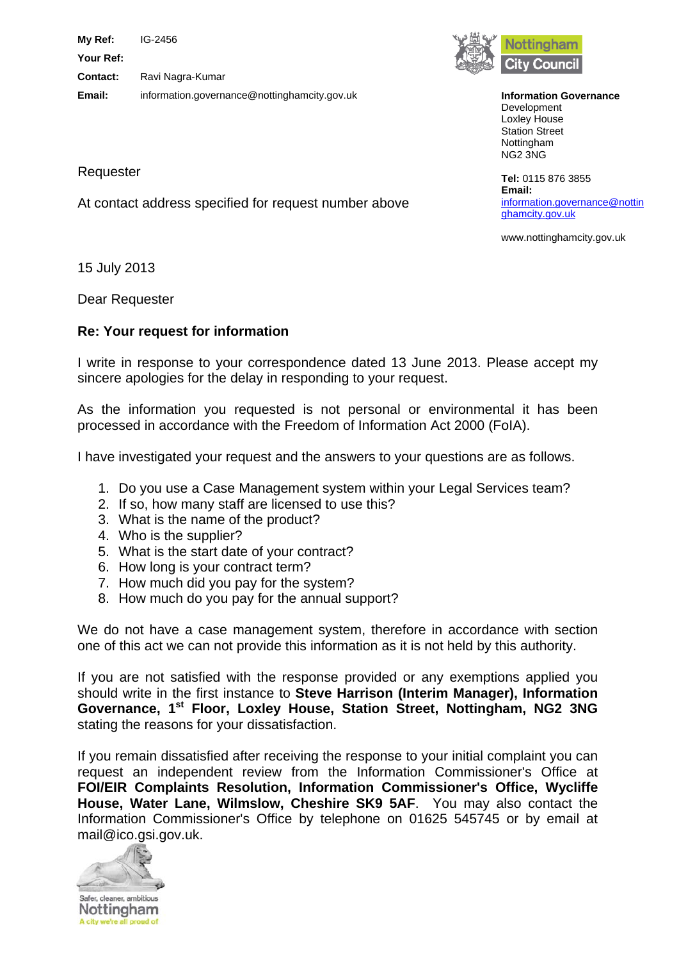**My Ref:** IG-2456 **Your Ref: Contact:** Ravi Nagra-Kumar **Email:** information.governance@nottinghamcity.gov.uk

At contact address specified for request number above



**Information Governance** Development Loxley House Station Street Nottingham NG2 3NG

**Tel:** 0115 876 3855 **Email:**  [information.governance@nottin](mailto:xxxxxxxxxxx.xxxxxxxxxx@xxxxxxxxxxxxxx.xxx.xx) [ghamcity.gov.uk](mailto:xxxxxxxxxxx.xxxxxxxxxx@xxxxxxxxxxxxxx.xxx.xx)

www.nottinghamcity.gov.uk

15 July 2013

Requester

Dear Requester

## **Re: Your request for information**

I write in response to your correspondence dated 13 June 2013. Please accept my sincere apologies for the delay in responding to your request.

As the information you requested is not personal or environmental it has been processed in accordance with the Freedom of Information Act 2000 (FoIA).

I have investigated your request and the answers to your questions are as follows.

- 1. Do you use a Case Management system within your Legal Services team?
- 2. If so, how many staff are licensed to use this?
- 3. What is the name of the product?
- 4. Who is the supplier?
- 5. What is the start date of your contract?
- 6. How long is your contract term?
- 7. How much did you pay for the system?
- 8. How much do you pay for the annual support?

We do not have a case management system, therefore in accordance with section one of this act we can not provide this information as it is not held by this authority.

If you are not satisfied with the response provided or any exemptions applied you should write in the first instance to **Steve Harrison (Interim Manager), Information Governance, 1st Floor, Loxley House, Station Street, Nottingham, NG2 3NG** stating the reasons for your dissatisfaction.

If you remain dissatisfied after receiving the response to your initial complaint you can request an independent review from the Information Commissioner's Office at **FOI/EIR Complaints Resolution, Information Commissioner's Office, Wycliffe House, Water Lane, Wilmslow, Cheshire SK9 5AF**. You may also contact the Information Commissioner's Office by telephone on 01625 545745 or by email at mail@ico.gsi.gov.uk.